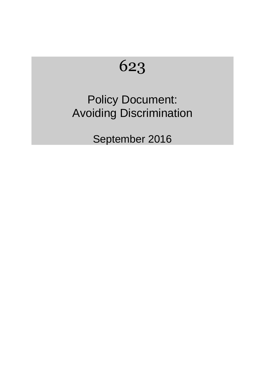# 623

# Policy Document: Avoiding Discrimination

September 2016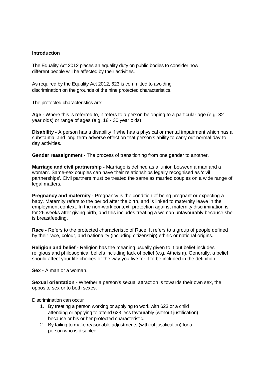#### **Introduction**

The Equality Act 2012 places an equality duty on public bodies to consider how different people will be affected by their activities.

As required by the Equality Act 2012, 623 is committed to avoiding discrimination on the grounds of the nine protected characteristics.

The protected characteristics are:

**Age -** Where this is referred to, it refers to a person belonging to a particular age (e.g. 32 year olds) or range of ages (e.g. 18 - 30 year olds).

**Disability -** A person has a disability if s/he has a physical or mental impairment which has a substantial and long-term adverse effect on that person's ability to carry out normal day-today activities.

**Gender reassignment -** The process of transitioning from one gender to another.

**Marriage and civil partnership -** Marriage is defined as a 'union between a man and a woman'. Same-sex couples can have their relationships legally recognised as 'civil partnerships'. Civil partners must be treated the same as married couples on a wide range of legal matters.

**Pregnancy and maternity -** Pregnancy is the condition of being pregnant or expecting a baby. Maternity refers to the period after the birth, and is linked to maternity leave in the employment context. In the non-work context, protection against maternity discrimination is for 26 weeks after giving birth, and this includes treating a woman unfavourably because she is breastfeeding.

**Race -** Refers to the protected characteristic of Race. It refers to a group of people defined by their race, colour, and nationality (including citizenship) ethnic or national origins.

**Religion and belief -** Religion has the meaning usually given to it but belief includes religious and philosophical beliefs including lack of belief (e.g. Atheism). Generally, a belief should affect your life choices or the way you live for it to be included in the definition.

**Sex -** A man or a woman.

**Sexual orientation -** Whether a person's sexual attraction is towards their own sex, the opposite sex or to both sexes.

Discrimination can occur

- 1. By treating a person working or applying to work with 623 or a child attending or applying to attend 623 less favourably (without justification) because or his or her protected characteristic.
- 2. By failing to make reasonable adjustments (without justification) for a person who is disabled.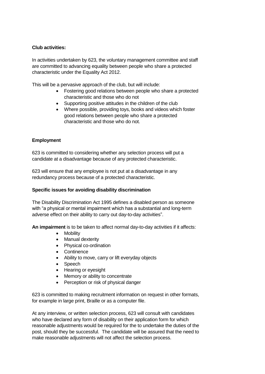## **Club activities:**

In activities undertaken by 623, the voluntary management committee and staff are committed to advancing equality between people who share a protected characteristic under the Equality Act 2012.

This will be a pervasive approach of the club, but will include:

- Fostering good relations between people who share a protected characteristic and those who do not
- Supporting positive attitudes in the children of the club
- Where possible, providing toys, books and videos which foster good relations between people who share a protected characteristic and those who do not.

# **Employment**

623 is committed to considering whether any selection process will put a candidate at a disadvantage because of any protected characteristic.

623 will ensure that any employee is not put at a disadvantage in any redundancy process because of a protected characteristic.

### **Specific issues for avoiding disability discrimination**

The Disability Discrimination Act 1995 defines a disabled person as someone with "a physical or mental impairment which has a substantial and long-term adverse effect on their ability to carry out day-to-day activities".

**An impairment** is to be taken to affect normal day-to-day activities if it affects:

- **Mobility**
- Manual dexterity
- Physical co-ordination
- Continence
- Ability to move, carry or lift everyday objects
- Speech
- Hearing or eyesight
- Memory or ability to concentrate
- Perception or risk of physical danger

623 is committed to making recruitment information on request in other formats, for example in large print, Braille or as a computer file.

At any interview, or written selection process, 623 will consult with candidates who have declared any form of disability on their application form for which reasonable adjustments would be required for the to undertake the duties of the post, should they be successful. The candidate will be assured that the need to make reasonable adjustments will not affect the selection process.